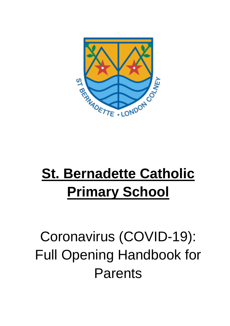

# **St. Bernadette Catholic Primary School**

# Coronavirus (COVID-19): Full Opening Handbook for Parents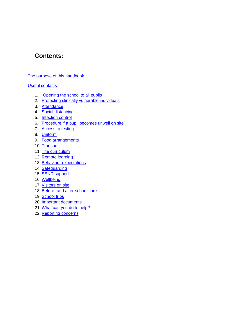# **Contents:**

#### [The purpose of this handbook](#page-1-0)

#### [Useful contacts](#page-2-0)

- 1. [Opening the school to all pupils](#page-3-0)
- 2. [Protecting clinically vulnerable individuals](#page-3-1)
- 3. [Attendance](#page-3-2)
- 4. [Social distancing](#page-4-0)
- 5. [Infection control](#page-7-0)
- 6. Procedure if a pupil becomes unwell on site
- 7. [Access to testing](#page-13-0)
- 8. [Uniform](#page-13-1)
- 9. Food arrangements
- 10. [Transport](#page-14-0)
- 11. [The curriculum](#page-14-1)
- 12. [Remote learning](#page-14-2)
- 13. [Behaviour expectations](#page-15-0)
- 14. Safequarding
- 15. [SEND support](#page-16-0)
- 16. [Wellbeing](#page-16-1)
- 17. [Visitors on site](#page-16-2)
- 18. Before- [and after-school care](#page-16-3)
- 19. [School trips](#page-17-0)
- 20. [Important documents](#page-17-1)
- 21. [What can you do to help?](#page-17-2)
- <span id="page-1-0"></span>22. [Reporting concerns](#page-18-0)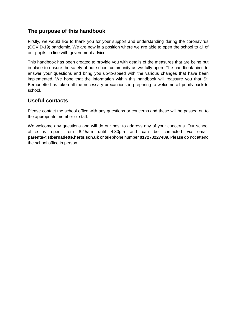# **The purpose of this handbook**

Firstly, we would like to thank you for your support and understanding during the coronavirus (COVID-19) pandemic. We are now in a position where we are able to open the school to all of our pupils, in line with government advice.

This handbook has been created to provide you with details of the measures that are being put in place to ensure the safety of our school community as we fully open. The handbook aims to answer your questions and bring you up-to-speed with the various changes that have been implemented. We hope that the information within this handbook will reassure you that St. Bernadette has taken all the necessary precautions in preparing to welcome all pupils back to school.

#### <span id="page-2-0"></span>**Useful contacts**

Please contact the school office with any questions or concerns and these will be passed on to the appropriate member of staff.

We welcome any questions and will do our best to address any of your concerns. Our school office is open from 8:45am until 4:30pm and can be contacted via email: **[parents@stbernadette.herts.sch.uk](mailto:parents@stbernadette.herts.sch.uk)** or telephone number **017278227489**. Please do not attend the school office in person.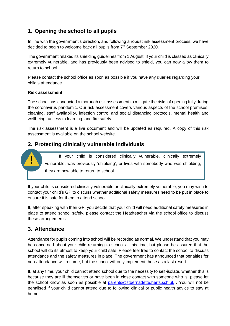# <span id="page-3-0"></span>**1. Opening the school to all pupils**

In line with the government's direction, and following a robust risk assessment process, we have decided to begin to welcome back all pupils from  $7<sup>th</sup>$  September 2020.

The government relaxed its shielding guidelines from 1 August. If your child is classed as clinically extremely vulnerable, and has previously been advised to shield, you can now allow them to return to school.

Please contact the school office as soon as possible if you have any queries regarding your child's attendance.

#### **Risk assessment**

The school has conducted a thorough risk assessment to mitigate the risks of opening fully during the coronavirus pandemic. Our risk assessment covers various aspects of the school premises, cleaning, staff availability, infection control and social distancing protocols, mental health and wellbeing, access to learning, and fire safety.

The risk assessment is a live document and will be updated as required. A copy of this risk assessment is available on the school website.

## <span id="page-3-1"></span>**2. Protecting clinically vulnerable individuals**

If your child is considered clinically vulnerable, clinically extremely vulnerable, was previously 'shielding', or lives with somebody who was shielding, they are now able to return to school.

If your child is considered clinically vulnerable or clinically extremely vulnerable, you may wish to contact your child's GP to discuss whether additional safety measures need to be put in place to ensure it is safe for them to attend school.

If, after speaking with their GP, you decide that your child will need additional safety measures in place to attend school safely, please contact the Headteacher via the school office to discuss these arrangements.

## <span id="page-3-2"></span>**3. Attendance**

Attendance for pupils coming into school will be recorded as normal. We understand that you may be concerned about your child returning to school at this time, but please be assured that the school will do its utmost to keep your child safe. Please feel free to contact the school to discuss attendance and the safety measures in place. The government has announced that penalties for non-attendance will resume, but the school will only implement these as a last resort.

If, at any time, your child cannot attend school due to the necessity to self-isolate, whether this is because they are ill themselves or have been in close contact with someone who is, please let the school know as soon as possible at [parents@stbernadette.herts.sch.uk](mailto:parents@stbernadette.herts.sch.uk) . You will not be penalised if your child cannot attend due to following clinical or public health advice to stay at home.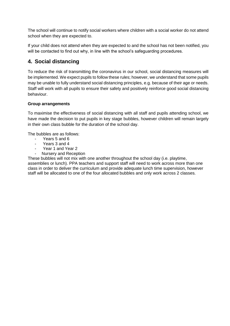The school will continue to notify social workers where children with a social worker do not attend school when they are expected to.

If your child does not attend when they are expected to and the school has not been notified, you will be contacted to find out why, in line with the school's safeguarding procedures.

# <span id="page-4-0"></span>**4. Social distancing**

To reduce the risk of transmitting the coronavirus in our school, social distancing measures will be implemented. We expect pupils to follow these rules; however, we understand that some pupils may be unable to fully understand social distancing principles, e.g. because of their age or needs. Staff will work with all pupils to ensure their safety and positively reinforce good social distancing behaviour.

#### **Group arrangements**

To maximise the effectiveness of social distancing with all staff and pupils attending school, we have made the decision to put pupils in key stage bubbles, however children will remain largely in their own class bubble for the duration of the school day.

The bubbles are as follows:

- Years 5 and 6
- Years 3 and 4
- Year 1 and Year 2
- Nursery and Reception

These bubbles will not mix with one another throughout the school day (i.e. playtime, assemblies or lunch). PPA teachers and support staff will need to work across more than one class in order to deliver the curriculum and provide adequate lunch time supervision, however staff will be allocated to one of the four allocated bubbles and only work across 2 classes.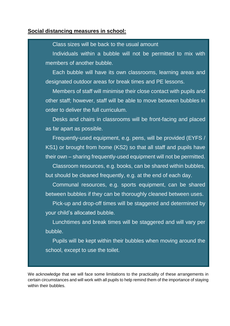#### **Social distancing measures in school:**

#### Class sizes will be back to the usual amount

Individuals within a bubble will not be permitted to mix with members of another bubble.

Each bubble will have its own classrooms, learning areas and designated outdoor areas for break times and PE lessons.

Members of staff will minimise their close contact with pupils and other staff; however, staff will be able to move between bubbles in order to deliver the full curriculum.

Desks and chairs in classrooms will be front-facing and placed as far apart as possible.

Frequently-used equipment, e.g. pens, will be provided (EYFS / KS1) or brought from home (KS2) so that all staff and pupils have their own – sharing frequently-used equipment will not be permitted.

Classroom resources, e.g. books, can be shared within bubbles, but should be cleaned frequently, e.g. at the end of each day.

Communal resources, e.g. sports equipment, can be shared between bubbles if they can be thoroughly cleaned between uses.

Pick-up and drop-off times will be staggered and determined by your child's allocated bubble.

Lunchtimes and break times will be staggered and will vary per bubble.

Pupils will be kept within their bubbles when moving around the school, except to use the toilet.

We acknowledge that we will face some limitations to the practicality of these arrangements in certain circumstances and will work with all pupils to help remind them of the importance of staying within their bubbles.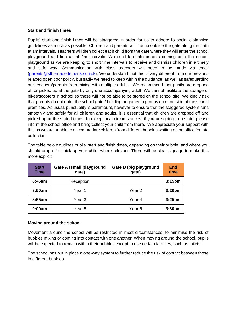#### **Start and finish times**

Pupils' start and finish times will be staggered in order for us to adhere to social distancing guidelines as much as possible. Children and parents will line up outside the gate along the path at 1m intervals. Teachers will then collect each child from the gate where they will enter the school playground and line up at 1m intervals. We can't facilitate parents coming onto the school playground as we are keeping to short time intervals to receive and dismiss children in a timely and safe way. Communication with class teachers will need to be made via email [\(parents@stbernadette.herts.sch.uk\)](mailto:parents@stbernadette.herts.sch.uk). We understand that this is very different from our previous relaxed open door policy, but sadly we need to keep within the guidance, as well as safeguarding our teachers/parents from mixing with multiple adults. We recommend that pupils are dropped off or picked up at the gate by only one accompanying adult. We cannot facilitate the storage of bikes/scooters in school so these will not be able to be stored on the school site. We kindly ask that parents do not enter the school gate / building or gather in groups on or outside of the school premises. As usual, punctuality is paramount, however to ensure that the staggered system runs smoothly and safely for all children and adults, it is essential that children are dropped off and picked up at the stated times. In exceptional circumstances, if you are going to be late, please inform the school office and bring/collect your child from there. We appreciate your support with this as we are unable to accommodate children from different bubbles waiting at the office for late collection.

The table below outlines pupils' start and finish times, depending on their bubble, and where you should drop off or pick up your child, where relevant. There will be clear signage to make this more explicit.

| <b>Start</b><br>Time | <b>Gate A (small playground</b><br>gate) | Gate B (big playground<br>gate) | End<br>time        |
|----------------------|------------------------------------------|---------------------------------|--------------------|
| 8:45am               | Reception                                |                                 | 3:15 <sub>pm</sub> |
| 8:50am               | Year 1                                   | Year 2                          | 3:20 <sub>pm</sub> |
| 8:55am               | Year 3                                   | Year 4                          | 3:25 <sub>pm</sub> |
| 9:00am               | Year 5                                   | Year 6                          | 3:30 <sub>pm</sub> |

#### **Moving around the school**

Movement around the school will be restricted in most circumstances, to minimise the risk of bubbles mixing or coming into contact with one another. When moving around the school, pupils will be expected to remain within their bubbles except to use certain facilities, such as toilets.

The school has put in place a one-way system to further reduce the risk of contact between those in different bubbles.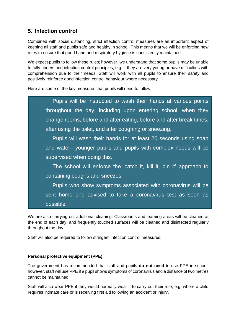# <span id="page-7-0"></span>**5. Infection control**

Combined with social distancing, strict infection control measures are an important aspect of keeping all staff and pupils safe and healthy in school. This means that we will be enforcing new rules to ensure that good hand and respiratory hygiene is consistently maintained.

We expect pupils to follow these rules; however, we understand that some pupils may be unable to fully understand infection control principles, e.g. if they are very young or have difficulties with comprehension due to their needs. Staff will work with all pupils to ensure their safety and positively reinforce good infection control behaviour where necessary.

Here are some of the key measures that pupils will need to follow:



We are also carrying out additional cleaning. Classrooms and learning areas will be cleaned at the end of each day, and frequently touched surfaces will be cleaned and disinfected regularly throughout the day.

Staff will also be required to follow stringent infection control measures.

#### **Personal protective equipment (PPE)**

The government has recommended that staff and pupils **do not need** to use PPE in school; however, staff will use PPE if a pupil shows symptoms of coronavirus and a distance of two metres cannot be maintained.

Staff will also wear PPE if they would normally wear it to carry out their role, e.g. where a child requires intimate care or is receiving first aid following an accident or injury.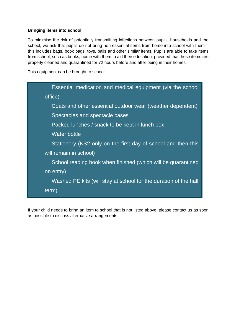#### **Bringing items into school**

To minimise the risk of potentially transmitting infections between pupils' households and the school, we ask that pupils do not bring non-essential items from home into school with them this includes bags, book bags, toys, balls and other similar items. Pupils are able to take items from school, such as books, home with them to aid their education, provided that these items are properly cleaned and quarantined for 72 hours before and after being in their homes.

This equipment can be brought to school:



If your child needs to bring an item to school that is not listed above, please contact us as soon as possible to discuss alternative arrangements.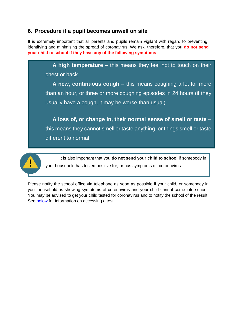## **6. Procedure if a pupil becomes unwell on site**

It is extremely important that all parents and pupils remain vigilant with regard to preventing, identifying and minimising the spread of coronavirus. We ask, therefore, that you **do not send your child to school if they have any of the following symptoms**:

**A high temperature** – this means they feel hot to touch on their chest or back

**A new, continuous cough** – this means coughing a lot for more than an hour, or three or more coughing episodes in 24 hours (if they usually have a cough, it may be worse than usual)

**A loss of, or change in, their normal sense of smell or taste** – this means they cannot smell or taste anything, or things smell or taste different to normal



It is also important that you **do not send your child to school** if somebody in your household has tested positive for, or has symptoms of, coronavirus.

Please notify the school office via telephone as soon as possible if your child, or somebody in your household, is showing symptoms of coronavirus and your child cannot come into school. You may be advised to get your child tested for coronavirus and to notify the school of the result. See [below](#page-13-0) for information on accessing a test.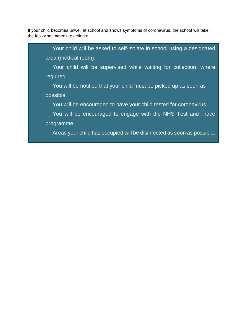If your child becomes unwell at school and shows symptoms of coronavirus, the school will take the following immediate actions:

Your child will be asked to self-isolate in school using a designated area (medical room).

Your child will be supervised while waiting for collection, where required.

You will be notified that your child must be picked up as soon as possible.

You will be encouraged to have your child tested for coronavirus.

You will be encouraged to engage with the NHS Test and Trace programme.

Areas your child has occupied will be disinfected as soon as possible.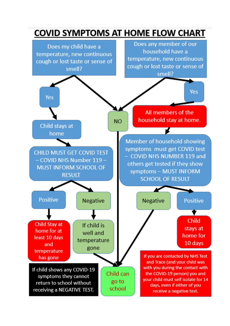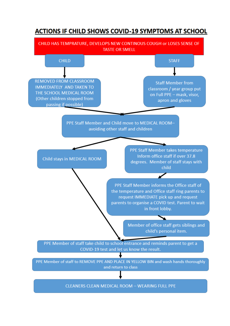# **ACTIONS IF CHILD SHOWS COVID-19 SYMPTOMS AT SCHOOL**

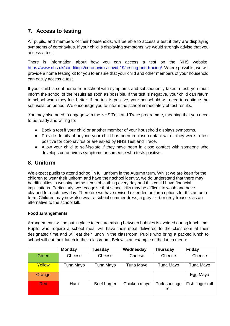# <span id="page-13-0"></span>**7. Access to testing**

All pupils, and members of their households, will be able to access a test if they are displaying symptoms of coronavirus. If your child is displaying symptoms, we would strongly advise that you access a test.

There is information about how you can access a test on the NHS website: [https://www.nhs.uk/conditions/coronavirus-covid-19/testing-and-tracing/.](https://www.nhs.uk/conditions/coronavirus-covid-19/testing-and-tracing/) Where possible, we will provide a home testing kit for you to ensure that your child and other members of your household can easily access a test.

If your child is sent home from school with symptoms and subsequently takes a test, you must inform the school of the results as soon as possible. If the test is negative, your child can return to school when they feel better. If the test is positive, your household will need to continue the self-isolation period. We encourage you to inform the school immediately of test results.

You may also need to engage with the NHS Test and Trace programme, meaning that you need to be ready and willing to:

- Book a test if your child or another member of your household displays symptoms.
- Provide details of anyone your child has been in close contact with if they were to test positive for coronavirus or are asked by NHS Test and Trace.
- <span id="page-13-1"></span>● Allow your child to self-isolate if they have been in close contact with someone who develops coronavirus symptoms or someone who tests positive.

## **8. Uniform**

We expect pupils to attend school in full uniform in the Autumn term. Whilst we are keen for the children to wear their uniform and have their school identity, we do understand that there may be difficulties in washing some items of clothing every day and this could have financial implications. Particularly, we recognise that school kilts may be difficult to wash and have cleaned for each new day. Therefore we have revised extended uniform options for this autumn term. Children may now also wear a school summer dress, a grey skirt or grey trousers as an alternative to the school kilt.

#### **Food arrangements**

Arrangements will be put in place to ensure mixing between bubbles is avoided during lunchtime. Pupils who require a school meal will have their meal delivered to the classroom at their designated time and will eat their lunch in the classroom. Pupils who bring a packed lunch to school will eat their lunch in their classroom. Below is an example of the lunch menu:

|        | <b>Monday</b> | <b>Tuesday</b> | Wednesday    | <b>Thursday</b>      | Friday           |
|--------|---------------|----------------|--------------|----------------------|------------------|
| Green  | Cheese        | Cheese         | Cheese       | Cheese               | Cheese           |
| Yellow | Tuna Mayo     | Tuna Mayo      | Tuna Mayo    | Tuna Mayo            | Tuna Mayo        |
| Orange |               |                |              |                      | Egg Mayo         |
| Red    | Ham           | Beef burger    | Chicken mayo | Pork sausage<br>roll | Fish finger roll |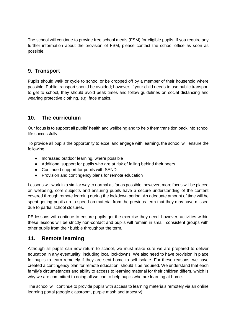The school will continue to provide free school meals (FSM) for eligible pupils. If you require any further information about the provision of FSM, please contact the school office as soon as possible.

#### <span id="page-14-0"></span>**9. Transport**

Pupils should walk or cycle to school or be dropped off by a member of their household where possible. Public transport should be avoided; however, if your child needs to use public transport to get to school, they should avoid peak times and follow guidelines on social distancing and wearing protective clothing, e.g. face masks.

## <span id="page-14-1"></span>**10. The curriculum**

Our focus is to support all pupils' health and wellbeing and to help them transition back into school life successfully.

To provide all pupils the opportunity to excel and engage with learning, the school will ensure the following:

- Increased outdoor learning, where possible
- Additional support for pupils who are at risk of falling behind their peers
- Continued support for pupils with SEND
- Provision and contingency plans for remote education

Lessons will work in a similar way to normal as far as possible; however, more focus will be placed on wellbeing, core subjects and ensuring pupils have a secure understanding of the content covered through remote learning during the lockdown period. An adequate amount of time will be spent getting pupils up-to-speed on material from the previous term that they may have missed due to partial school closures.

PE lessons will continue to ensure pupils get the exercise they need; however, activities within these lessons will be strictly non-contact and pupils will remain in small, consistent groups with other pupils from their bubble throughout the term.

## <span id="page-14-2"></span>**11. Remote learning**

Although all pupils can now return to school, we must make sure we are prepared to deliver education in any eventuality, including local lockdowns. We also need to have provision in place for pupils to learn remotely if they are sent home to self-isolate. For these reasons, we have created a contingency plan for remote education, should it be required. We understand that each family's circumstances and ability to access to learning material for their children differs, which is why we are committed to doing all we can to help pupils who are learning at home.

The school will continue to provide pupils with access to learning materials remotely via an online learning portal (google classroom, purple mash and tapestry).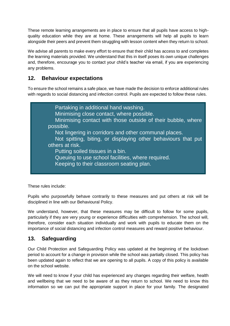These remote learning arrangements are in place to ensure that all pupils have access to highquality education while they are at home. These arrangements will help all pupils to learn alongside their peers and prevent them struggling with lesson content when they return to school.

We advise all parents to make every effort to ensure that their child has access to and completes the learning materials provided. We understand that this in itself poses its own unique challenges and, therefore, encourage you to contact your child's teacher via email, if you are experiencing any problems.

# <span id="page-15-0"></span>**12. Behaviour expectations**

To ensure the school remains a safe place, we have made the decision to enforce additional rules with regards to social distancing and infection control. Pupils are expected to follow these rules.



These rules include:

Pupils who purposefully behave contrarily to these measures and put others at risk will be disciplined in line with our Behavioural Policy.

We understand, however, that these measures may be difficult to follow for some pupils, particularly if they are very young or experience difficulties with comprehension. The school will, therefore, consider each situation individually and work with pupils to educate them on the importance of social distancing and infection control measures and reward positive behaviour.

## <span id="page-15-1"></span>**13. Safeguarding**

Our Child Protection and Safeguarding Policy was updated at the beginning of the lockdown period to account for a change in provision while the school was partially closed. This policy has been updated again to reflect that we are opening to all pupils. A copy of this policy is available on the school website.

We will need to know if your child has experienced any changes regarding their welfare, health and wellbeing that we need to be aware of as they return to school. We need to know this information so we can put the appropriate support in place for your family. The designated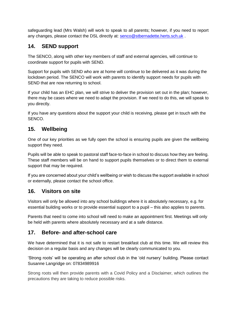safeguarding lead (Mrs Walsh) will work to speak to all parents; however, if you need to report any changes, please contact the DSL directly at: [senco@stbernadette.herts.sch.uk](mailto:senco@stbernadette.herts.sch.uk).

#### <span id="page-16-0"></span>**14. SEND support**

The SENCO, along with other key members of staff and external agencies, will continue to coordinate support for pupils with SEND.

Support for pupils with SEND who are at home will continue to be delivered as it was during the lockdown period. The SENCO will work with parents to identify support needs for pupils with SEND that are now returning to school.

If your child has an EHC plan, we will strive to deliver the provision set out in the plan; however, there may be cases where we need to adapt the provision. If we need to do this, we will speak to you directly.

If you have any questions about the support your child is receiving, please get in touch with the SENCO.

## <span id="page-16-1"></span>**15. Wellbeing**

One of our key priorities as we fully open the school is ensuring pupils are given the wellbeing support they need.

Pupils will be able to speak to pastoral staff face-to-face in school to discuss how they are feeling. These staff members will be on hand to support pupils themselves or to direct them to external support that may be required.

If you are concerned about your child's wellbeing or wish to discuss the support available in school or externally, please contact the school office.

#### <span id="page-16-2"></span>**16. Visitors on site**

Visitors will only be allowed into any school buildings where it is absolutely necessary, e.g. for essential building works or to provide essential support to a pupil – this also applies to parents.

Parents that need to come into school will need to make an appointment first. Meetings will only be held with parents where absolutely necessary and at a safe distance.

#### <span id="page-16-3"></span>**17. Before- and after-school care**

We have determined that it is not safe to restart breakfast club at this time. We will review this decision on a regular basis and any changes will be clearly communicated to you.

'Strong roots' will be operating an after school club in the 'old nursery' building. Please contact Susanne Langridge on: 07834989916

Strong roots will then provide parents with a Covid Policy and a Disclaimer, which outlines the precautions they are taking to reduce possible risks.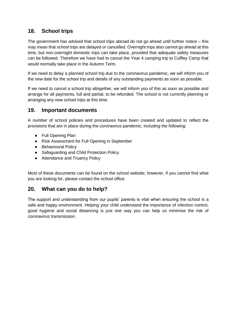## <span id="page-17-0"></span>**18. School trips**

The government has advised that school trips abroad do not go ahead until further notice – this may mean that school trips are delayed or cancelled. Overnight trips also cannot go ahead at this time, but non-overnight domestic trips can take place, provided that adequate safety measures can be followed. Therefore we have had to cancel the Year 4 camping trip to Cuffley Camp that would normally take place in the Autumn Term.

If we need to delay a planned school trip due to the coronavirus pandemic, we will inform you of the new date for the school trip and details of any outstanding payments as soon as possible.

If we need to cancel a school trip altogether, we will inform you of this as soon as possible and arrange for all payments, full and partial, to be refunded. The school is not currently planning or arranging any new school trips at this time.

#### <span id="page-17-1"></span>**19. Important documents**

A number of school policies and procedures have been created and updated to reflect the provisions that are in place during the coronavirus pandemic, including the following:

- Full Opening Plan
- Risk Assessment for Full Opening in September
- Behavioural Policy
- Safeguarding and Child Protection Policy
- Attendance and Truancy Policy

Most of these documents can be found on the school website; however, if you cannot find what you are looking for, please contact the school office.

#### <span id="page-17-2"></span>**20. What can you do to help?**

The support and understanding from our pupils' parents is vital when ensuring the school is a safe and happy environment. Helping your child understand the importance of infection control, good hygiene and social distancing is just one way you can help us minimise the risk of coronavirus transmission.